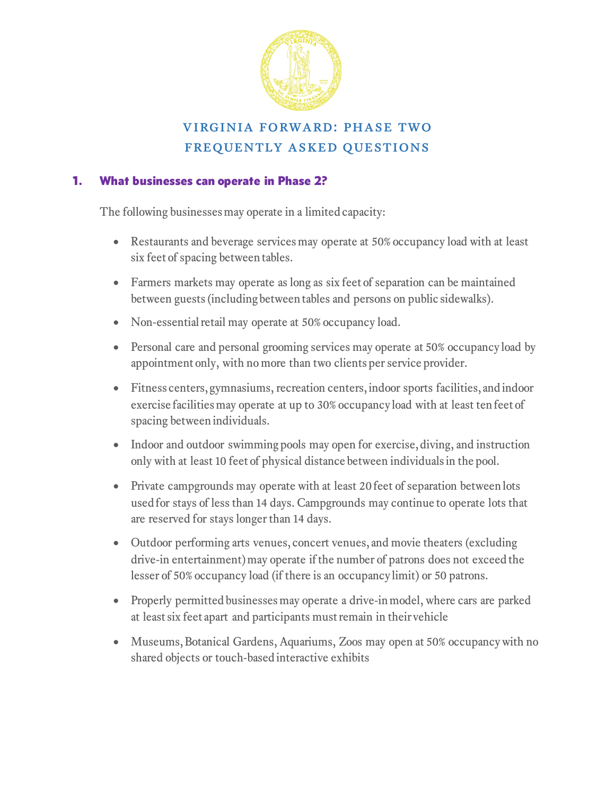

# virginia forward: phase two frequently asked questions

## 1. What businesses can operate in Phase 2?

The following businesses may operate in a limited capacity:

- Restaurants and beverage services may operate at 50% occupancy load with at least six feet of spacing between tables.
- Farmers markets may operate as long as six feet of separation can be maintained between guests (including between tables and persons on public sidewalks).
- Non-essential retail may operate at 50% occupancy load.
- Personal care and personal grooming services may operate at 50% occupancy load by appointment only, with no more than two clients per service provider.
- Fitness centers, gymnasiums, recreation centers, indoor sports facilities, and indoor exercise facilities may operate at up to 30% occupancy load with at least ten feet of spacing between individuals.
- Indoor and outdoor swimming pools may open for exercise, diving, and instruction only with at least 10 feet of physical distance between individuals in the pool.
- Private campgrounds may operate with at least 20 feet of separation between lots used for stays of less than 14 days. Campgrounds may continue to operate lots that are reserved for stays longer than 14 days.
- Outdoor performing arts venues, concert venues, and movie theaters (excluding drive-in entertainment) may operate if the number of patrons does not exceed the lesser of 50% occupancy load (if there is an occupancy limit) or 50 patrons.
- Properly permitted businesses may operate a drive-in model, where cars are parked at least six feet apart and participants must remain in their vehicle
- Museums, Botanical Gardens, Aquariums, Zoos may open at 50% occupancy with no shared objects or touch-based interactive exhibits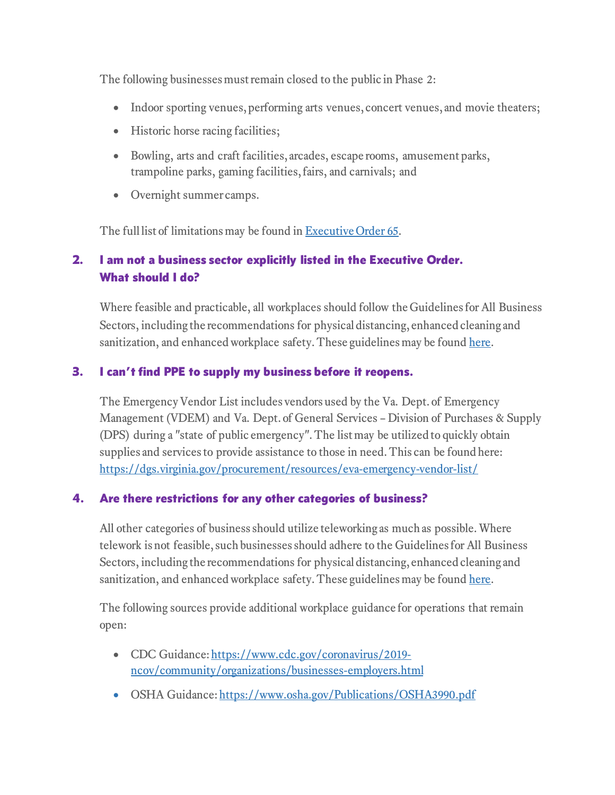The following businesses must remain closed to the public in Phase 2:

- Indoor sporting venues, performing arts venues, concert venues, and movie theaters;
- Historic horse racing facilities;
- Bowling, arts and craft facilities, arcades, escape rooms, amusement parks, trampoline parks, gaming facilities, fairs, and carnivals; and
- Overnight summer camps.

The full list of limitations may be found in **Executive Order 65**.

# 2. I am not a business sector explicitly listed in the Executive Order. What should I do?

Where feasible and practicable, all workplaces should follow the Guidelines for All Business Sectors, including the recommendations for physical distancing, enhanced cleaning and sanitization, and enhanced workplace safety. These guidelines may be found [here.](https://www.virginia.gov/coronavirus/forwardvirginia/#856418)

# 3. I can't find PPE to supply my business before it reopens.

The Emergency Vendor List includes vendors used by the Va. Dept. of Emergency Management (VDEM) and Va. Dept. of General Services – Division of Purchases & Supply (DPS) during a "state of public emergency". The list may be utilized to quickly obtain supplies and services to provide assistance to those in need. This can be found here: <https://dgs.virginia.gov/procurement/resources/eva-emergency-vendor-list/>

# 4. Are there restrictions for any other categories of business?

All other categories of business should utilize teleworking as much as possible. Where telework is not feasible, such businesses should adhere to the Guidelines for All Business Sectors, including the recommendations for physical distancing, enhanced cleaning and sanitization, and enhanced workplace safety. These guidelines may be found [here.](https://www.virginia.gov/coronavirus/forwardvirginia/#856418)

The following sources provide additional workplace guidance for operations that remain open:

- CDC Guidance: [https://www.cdc.gov/coronavirus/2019](https://www.cdc.gov/coronavirus/2019-ncov/community/organizations/businesses-employers.html) [ncov/community/organizations/businesses-employers.html](https://www.cdc.gov/coronavirus/2019-ncov/community/organizations/businesses-employers.html)
- OSHA Guidance: <https://www.osha.gov/Publications/OSHA3990.pdf>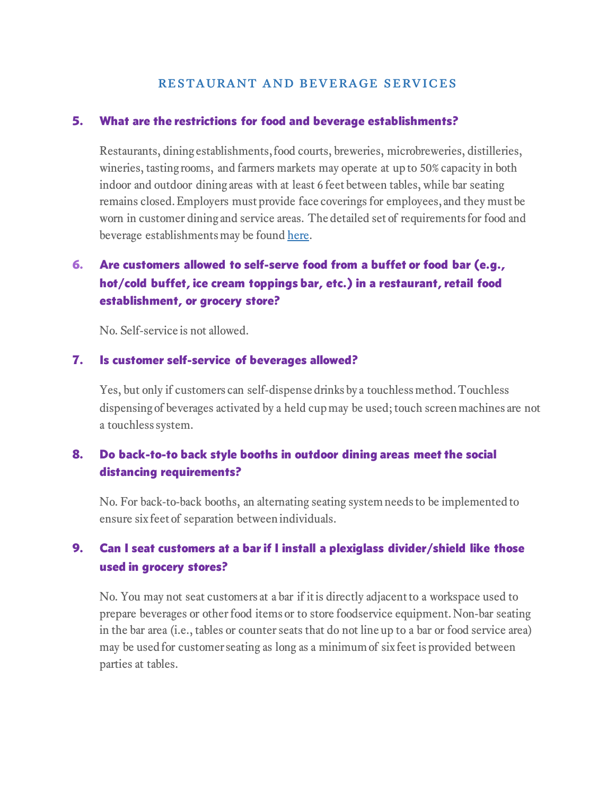#### 5. What are the restrictions for food and beverage establishments?

Restaurants, dining establishments, food courts, breweries, microbreweries, distilleries, wineries, tasting rooms, and farmers markets may operate at up to 50% capacity in both indoor and outdoor dining areas with at least 6 feet between tables, while bar seating remains closed. Employers must provide face coverings for employees, and they must be worn in customer dining and service areas. The detailed set of requirements for food and beverage establishments may be found [here.](https://www.virginia.gov/coronavirus/forwardvirginia/#856420)

# 6. Are customers allowed to self-serve food from a buffet or food bar (e.g., hot/cold buffet, ice cream toppings bar, etc.) in a restaurant, retail food establishment, or grocery store?

No. Self-service is not allowed.

### 7. Is customer self-service of beverages allowed?

Yes, but only if customers can self-dispense drinks by a touchless method. Touchless dispensing of beverages activated by a held cup may be used; touch screen machines are not a touchless system.

# 8. Do back-to-to back style booths in outdoor dining areas meet the social distancing requirements?

No. For back-to-back booths, an alternating seating system needs to be implemented to ensure six feet of separation between individuals.

# 9. Can I seat customers at a bar if I install a plexiglass divider/shield like those used in grocery stores?

No. You may not seat customers at a bar if it is directly adjacent to a workspace used to prepare beverages or other food items or to store foodservice equipment. Non-bar seating in the bar area (i.e., tables or counter seats that do not line up to a bar or food service area) may be used for customer seating as long as a minimum of six feet is provided between parties at tables.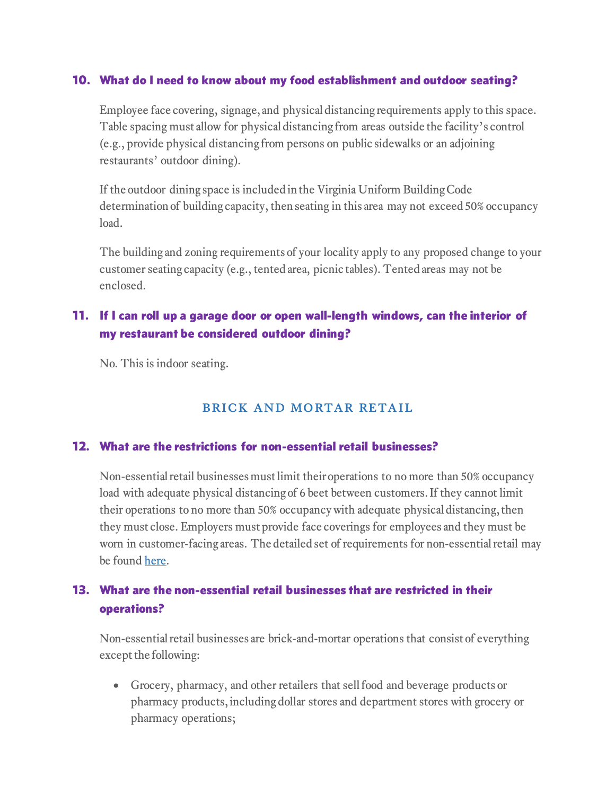## 10. What do I need to know about my food establishment and outdoor seating?

Employee face covering, signage, and physical distancing requirements apply to this space. Table spacing must allow for physical distancing from areas outside the facility's control (e.g., provide physical distancing from persons on public sidewalks or an adjoining restaurants' outdoor dining).

If the outdoor dining space is included in the Virginia Uniform Building Code determination of building capacity, then seating in this area may not exceed 50% occupancy load.

The building and zoning requirements of your locality apply to any proposed change to your customer seating capacity (e.g., tented area, picnic tables). Tented areas may not be enclosed.

# 11. If I can roll up a garage door or open wall-length windows, can the interior of my restaurant be considered outdoor dining?

No. This is indoor seating.

# brick and mortar retail

## 12. What are the restrictions for non-essential retail businesses?

Non-essential retail businesses must limit their operations to no more than 50% occupancy load with adequate physical distancing of 6 beet between customers. If they cannot limit their operations to no more than 50% occupancy with adequate physical distancing, then they must close. Employers must provide face coverings for employees and they must be worn in customer-facing areas. The detailed set of requirements for non-essential retail may be found [here.](https://www.virginia.gov/coronavirus/forwardvirginia/#856423)

# 13. What are the non-essential retail businesses that are restricted in their operations?

Non-essential retail businesses are brick-and-mortar operations that consist of everything except the following:

• Grocery, pharmacy, and other retailers that sell food and beverage products or pharmacy products, including dollar stores and department stores with grocery or pharmacy operations;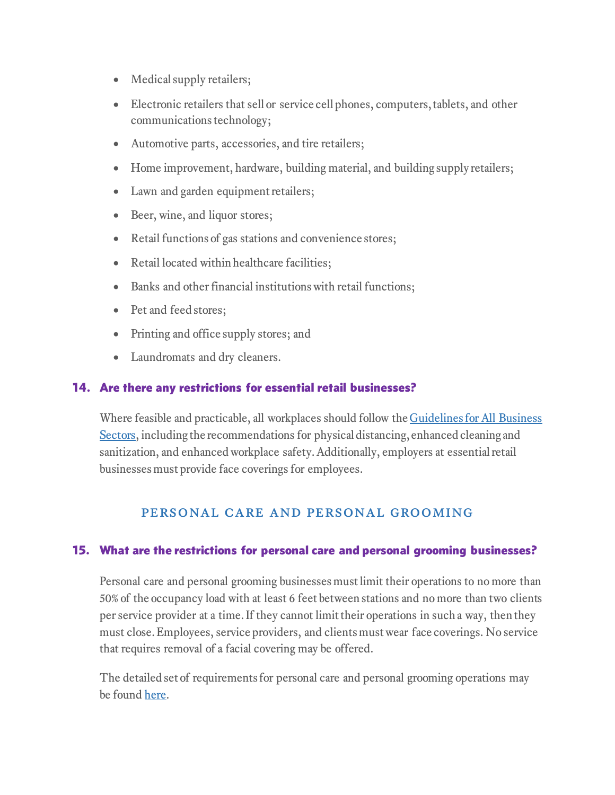- Medical supply retailers;
- Electronic retailers that sell or service cell phones, computers, tablets, and other communications technology;
- Automotive parts, accessories, and tire retailers;
- Home improvement, hardware, building material, and building supply retailers;
- Lawn and garden equipment retailers;
- Beer, wine, and liquor stores;
- Retail functions of gas stations and convenience stores;
- Retail located within healthcare facilities;
- Banks and other financial institutions with retail functions;
- Pet and feed stores;
- Printing and office supply stores; and
- Laundromats and dry cleaners.

## 14. Are there any restrictions for essential retail businesses?

Where feasible and practicable, all workplaces should follow the Guidelines for All Business [Sectors,](https://www.governor.virginia.gov/media/governorvirginiagov/governor-of-virginia/pdf/Virginia-Forward-Phase-One-Business-Sector-Guidelines.pdf) including the recommendations for physical distancing, enhanced cleaning and sanitization, and enhanced workplace safety. Additionally, employers at essential retail businesses must provide face coverings for employees.

## personal care and personal grooming

## 15. What are the restrictions for personal care and personal grooming businesses?

Personal care and personal grooming businesses must limit their operations to no more than 50% of the occupancy load with at least 6 feet between stations and no more than two clients per service provider at a time. If they cannot limit their operations in such a way, then they must close. Employees, service providers, and clients must wear face coverings. No service that requires removal of a facial covering may be offered.

The detailed set of requirements for personal care and personal grooming operations may be found [here.](https://www.virginia.gov/coronavirus/forwardvirginia/#856437)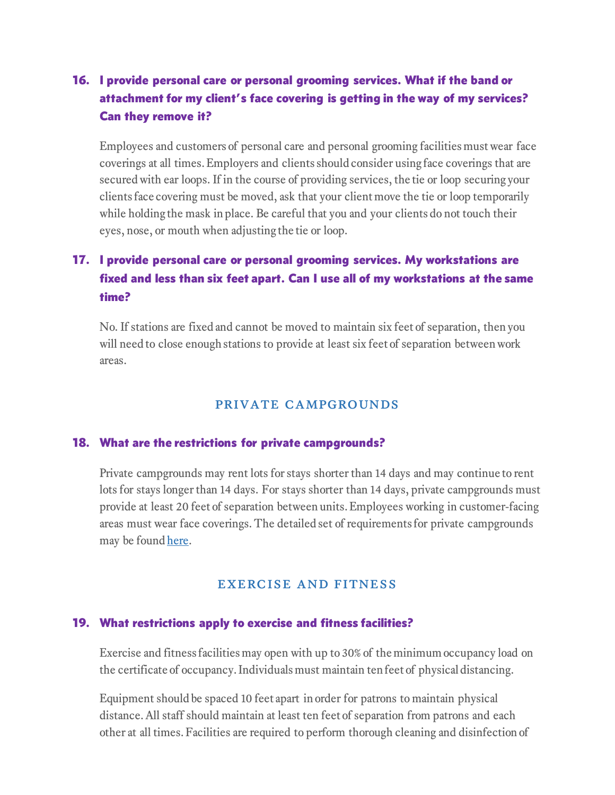# 16. I provide personal care or personal grooming services. What if the band or attachment for my client's face covering is getting in the way of my services? Can they remove it?

Employees and customers of personal care and personal grooming facilities must wear face coverings at all times. Employers and clients should consider using face coverings that are secured with ear loops. If in the course of providing services, the tie or loop securing your clients face covering must be moved, ask that your client move the tie or loop temporarily while holding the mask in place. Be careful that you and your clients do not touch their eyes, nose, or mouth when adjusting the tie or loop.

# 17. I provide personal care or personal grooming services. My workstations are fixed and less than six feet apart. Can I use all of my workstations at the same time?

No. If stations are fixed and cannot be moved to maintain six feet of separation, then you will need to close enough stations to provide at least six feet of separation between work areas.

## private campgrounds

### 18. What are the restrictions for private campgrounds?

Private campgrounds may rent lots for stays shorter than 14 days and may continue to rent lots for stays longer than 14 days. For stays shorter than 14 days, private campgrounds must provide at least 20 feet of separation between units. Employees working in customer-facing areas must wear face coverings. The detailed set of requirements for private campgrounds may be found [here.](https://www.virginia.gov/coronavirus/forwardvirginia/#856439)

## exercise and fitness

#### 19. What restrictions apply to exercise and fitness facilities?

Exercise and fitness facilities may open with up to 30% of the minimum occupancy load on the certificate of occupancy. Individuals must maintain ten feet of physical distancing.

Equipment should be spaced 10 feet apart in order for patrons to maintain physical distance.All staff should maintain at least ten feet of separation from patrons and each other at all times. Facilities are required to perform thorough cleaning and disinfection of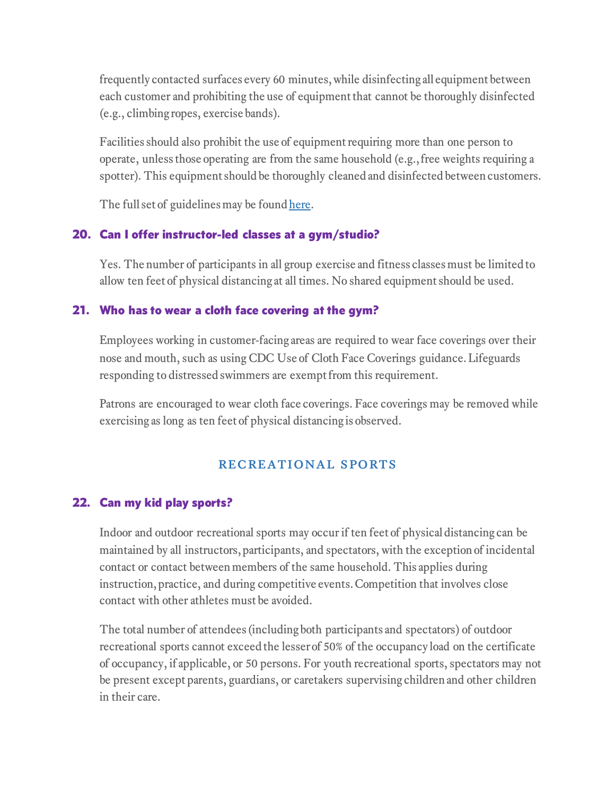frequently contacted surfaces every 60 minutes, while disinfecting all equipment between each customer and prohibiting the use of equipment that cannot be thoroughly disinfected (e.g., climbing ropes, exercise bands).

Facilities should also prohibit the use of equipment requiring more than one person to operate, unless those operating are from the same household (e.g., free weights requiring a spotter). This equipment should be thoroughly cleaned and disinfected between customers.

The full set of guidelines may be foun[d here.](https://www.virginia.gov/coronavirus/forwardvirginia)

# 20. Can I offer instructor-led classes at a gym/studio?

Yes. The number of participants in all group exercise and fitness classes must be limited to allow ten feet of physical distancing at all times. No shared equipment should be used.

## 21. Who has to wear a cloth face covering at the gym?

Employees working in customer-facing areas are required to wear face coverings over their nose and mouth, such as using [CDC Use of Cloth Face Coverings guidance.](https://www.cdc.gov/coronavirus/2019-ncov/prevent-getting-sick/diy-cloth-face-coverings.html) Lifeguards responding to distressed swimmers are exempt from this requirement.

Patrons are encouraged to wear cloth face coverings. Face coverings may be removed while exercising as long as ten feet of physical distancing is observed.

# recreational sports

# 22. Can my kid play sports?

Indoor and outdoor recreational sports may occur if ten feet of physical distancing can be maintained by all instructors, participants, and spectators, with the exception of incidental contact or contact between members of the same household. This applies during instruction, practice, and during competitive events. Competition that involves close contact with other athletes must be avoided.

The total number of attendees (including both participants and spectators) of outdoor recreational sports cannot exceed the lesser of 50% of the occupancy load on the certificate of occupancy, if applicable, or 50 persons. For youth recreational sports, spectators may not be present except parents, guardians, or caretakers supervising children and other children in their care.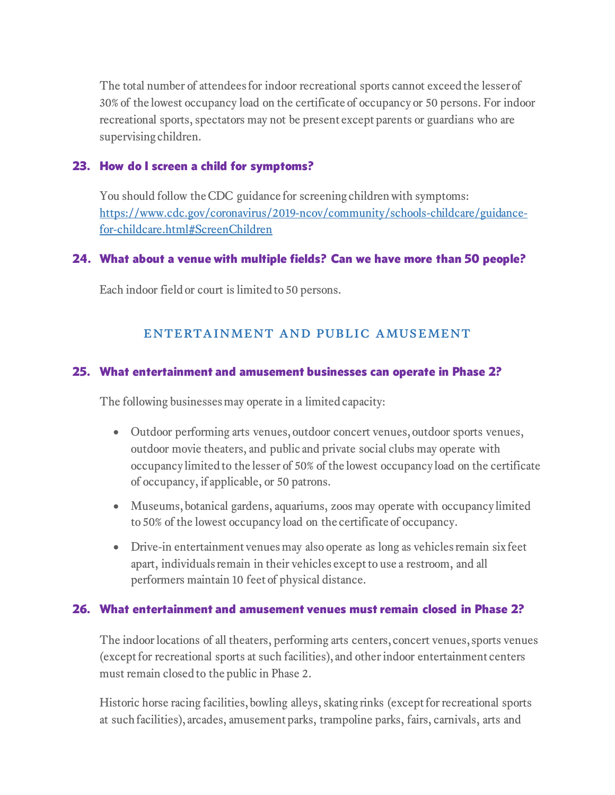The total number of attendees for indoor recreational sports cannot exceed the lesser of 30% of the lowest occupancy load on the certificate of occupancy or 50 persons. For indoor recreational sports, spectators may not be present except parents or guardians who are supervising children.

## 23. How do I screen a child for symptoms?

You should follow the CDC guidance for screening children with symptoms: [https://www.cdc.gov/coronavirus/2019-ncov/community/schools-childcare/guidance](https://www.cdc.gov/coronavirus/2019-ncov/community/schools-childcare/guidance-for-childcare.html#ScreenChildren)[for-childcare.html#ScreenChildren](https://www.cdc.gov/coronavirus/2019-ncov/community/schools-childcare/guidance-for-childcare.html#ScreenChildren)

## 24. What about a venue with multiple fields? Can we have more than 50 people?

Each indoor field or court is limited to 50 persons.

# entertainment and public amusement

## 25. What entertainment and amusement businesses can operate in Phase 2?

The following businesses may operate in a limited capacity:

- Outdoor performing arts venues, outdoor concert venues, outdoor sports venues, outdoor movie theaters, and public and private social clubs may operate with occupancy limited to the lesser of 50% of the lowest occupancy load on the certificate of occupancy, if applicable, or 50 patrons.
- Museums, botanical gardens, aquariums, zoos may operate with occupancy limited to 50% of the lowest occupancy load on the certificate of occupancy.
- Drive-in entertainment venues may also operate as long as vehicles remain six feet apart, individuals remain in their vehicles except to use a restroom, and all performers maintain 10 feet of physical distance.

## 26. What entertainment and amusement venues must remain closed in Phase 2?

The indoor locations of all theaters, performing arts centers, concert venues, sports venues (except for recreational sports at such facilities), and other indoor entertainment centers must remain closed to the public in Phase 2.

Historic horse racing facilities, bowling alleys, skating rinks (except for recreational sports at such facilities), arcades, amusement parks, trampoline parks, fairs, carnivals, arts and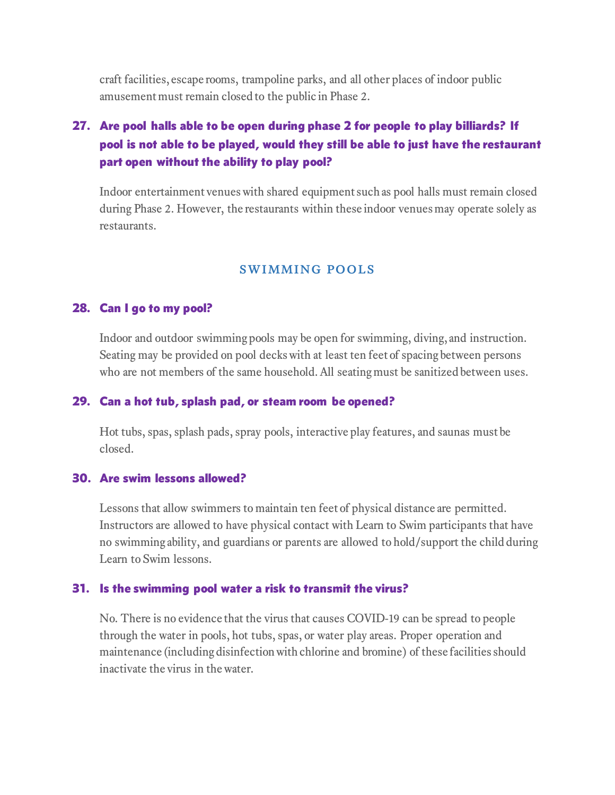craft facilities, escape rooms, trampoline parks, and all other places of indoor public amusement must remain closed to the public in Phase 2.

# 27. Are pool halls able to be open during phase 2 for people to play billiards? If pool is not able to be played, would they still be able to just have the restaurant part open without the ability to play pool?

Indoor entertainment venues with shared equipment such as pool halls must remain closed during Phase 2. However, the restaurants within these indoor venues may operate solely as restaurants.

#### swimming pools

#### 28. Can I go to my pool?

Indoor and outdoor swimming pools may be open for swimming, diving, and instruction. Seating may be provided on pool decks with at least ten feet of spacing between persons who are not members of the same household. All seating must be sanitized between uses.

#### 29. Can a hot tub, splash pad, or steam room be opened?

Hot tubs, spas, splash pads, spray pools, interactive play features, and saunas must be closed.

#### 30. Are swim lessons allowed?

Lessons that allow swimmers to maintain ten feet of physical distance are permitted. Instructors are allowed to have physical contact with Learn to Swim participants that have no swimming ability, and guardians or parents are allowed to hold/support the child during Learn to Swim lessons.

#### 31. Is the swimming pool water a risk to transmit the virus?

No. There is no evidence that the virus that causes COVID-19 can be spread to people through the water in pools, hot tubs, spas, or water play areas. Proper operation and maintenance (including disinfection with chlorine and bromine) of these facilities should inactivate the virus in the water.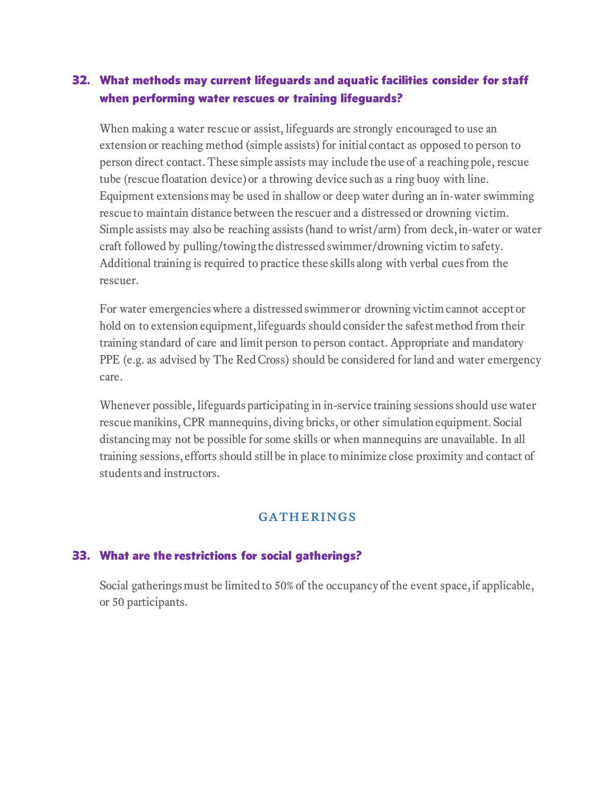# 32. What methods may current lifeguards and aquatic facilities consider for staff when performing water rescues or training lifeguards?

When making a water rescue or assist, lifeguards are strongly encouraged to use an extension or reaching method (simple assists) for initial contact as opposed to person to person direct contact. These simple assists may include the use of a reaching pole, rescue tube (rescue floatation device) or a throwing device such as a ring buoy with line. Equipment extensions may be used in shallow or deep water during an in-water swimming rescue to maintain distance between the rescuer and a distressed or drowning victim. Simple assists may also be reaching assists (hand to wrist/arm) from deck, in-water or water craft followed by pulling/towing the distressed swimmer/drowning victim to safety. Additional training is required to practice these skills along with verbal cues from the rescuer.

For water emergencies where a distressed swimmer or drowning victim cannot accept or hold on to extension equipment, lifeguards should consider the safest method from their training standard of care and limit person to person contact. Appropriate and mandatory PPE (e.g. as advised by [The Red Cross\)](https://www.redcross.org/take-a-class/coronavirus-information/transmission-based-precautions-and-prevention) should be considered for land and water emergency care.

Whenever possible, lifeguards participating in in-service training sessions should use water rescue manikins, CPR mannequins, diving bricks, or other simulation equipment. Social distancing may not be possible for some skills or when mannequins are unavailable. In all training sessions, efforts should still be in place to minimize close proximity and contact of students and instructors.

## **GATHERINGS**

## 33. What are the restrictions for social gatherings?

Social gatherings must be limited to 50% of the occupancy of the event space, if applicable, or 50 participants.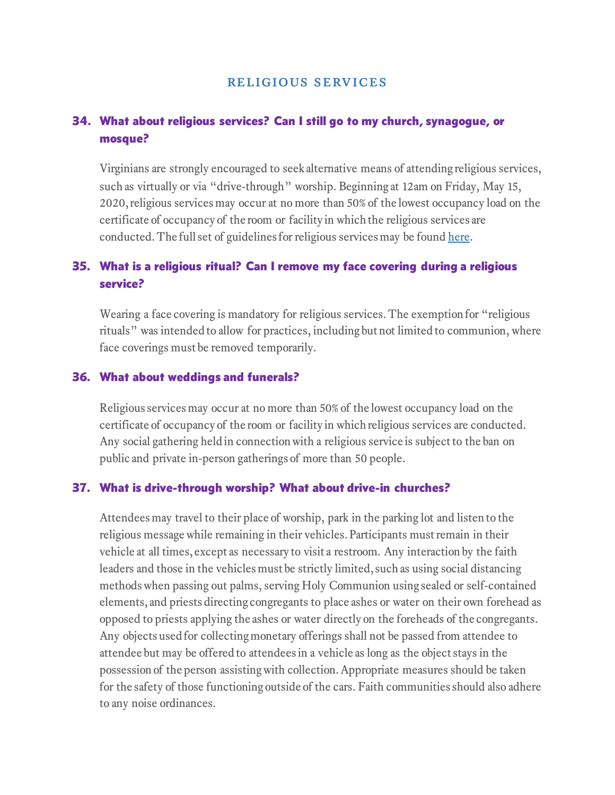# 34. What about religious services? Can I still go to my church, synagogue, or mosque?

Virginians are strongly encouraged to seek alternative means of attending religious services, such as virtually or via "drive-through" worship. Beginning at 12am on Friday, May 15, 2020, religious services may occur at no more than 50% of the lowest occupancy load on the certificate of occupancy of the room or facility in which the religious services are conducted. The full set of guidelines for religious services may be found [here.](https://www.virginia.gov/coronavirus/forwardvirginia/#856622)

# 35. What is a religious ritual? Can I remove my face covering during a religious service?

Wearing a face covering is mandatory for religious services. The exemption for "religious rituals" was intended to allow for practices, including but not limited to communion, where face coverings must be removed temporarily.

#### 36. What about weddings and funerals?

Religious services may occur at no more than 50% of the lowest occupancy load on the certificate of occupancy of the room or facility in which religious services are conducted. Any social gathering held in connection with a religious service is subject to the ban on public and private in-person gatherings of more than 50 people.

#### 37. What is drive-through worship? What about drive-in churches?

Attendees may travel to their place of worship, park in the parking lot and listen to the religious message while remaining in their vehicles. Participants must remain in their vehicle at all times, except as necessary to visit a restroom. Any interaction by the faith leaders and those in the vehicles must be strictly limited, such as using social distancing methods when passing out palms, serving Holy Communion using sealed or self-contained elements, and priests directing congregants to place ashes or water on their own forehead as opposed to priests applying the ashes or water directly on the foreheads of the congregants. Any objects used for collecting monetary offerings shall not be passed from attendee to attendee but may be offered to attendees in a vehicle as long as the object stays in the possession of the person assisting with collection. Appropriate measures should be taken for the safety of those functioning outside of the cars. Faith communities should also adhere to any noise ordinances.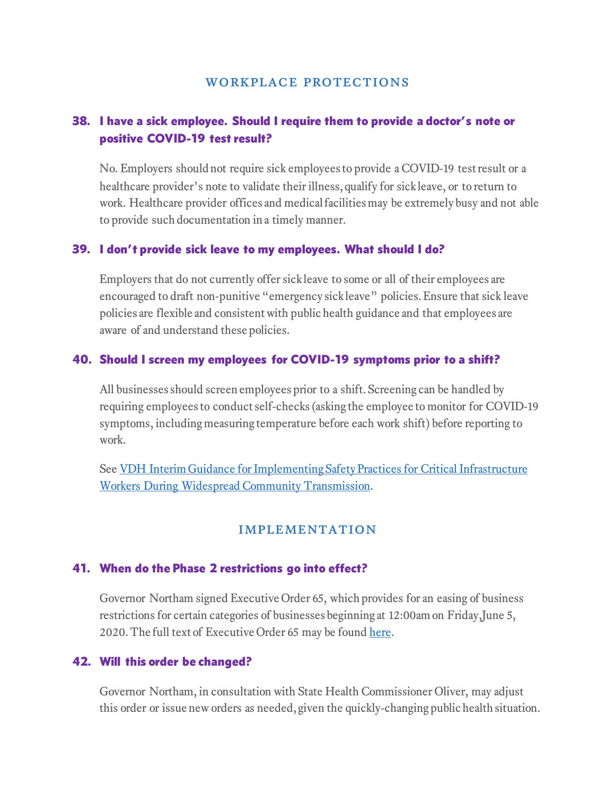# 38. I have a sick employee. Should I require them to provide a doctor's note or positive COVID-19 test result?

No. Employers should not require sick employees to provide a COVID-19 test result or a healthcare provider's note to validate their illness, qualify for sick leave, or to return to work. Healthcare provider offices and medical facilities may be extremely busy and not able to provide such documentation in a timely manner.

### 39. I don't provide sick leave to my employees. What should I do?

Employers that do not currently offer sick leave to some or all of their employees are encouraged to draft non-punitive "emergency sick leave" policies. Ensure that sick leave policies are flexible and consistent with public health guidance and that employees are aware of and understand these policies.

### 40. Should I screen my employees for COVID-19 symptoms prior to a shift?

All businesses should screen employees prior to a shift. Screening can be handled by requiring employees to conduct self-checks (asking the employee to monitor for COVID-19 symptoms, including measuring temperature before each work shift) before reporting to work.

See [VDH Interim Guidance for Implementing Safety Practices for Critical Infrastructure](http://www.vdh.virginia.gov/coronavirus/vdh-interim-guidance-for-implementing-safety-practices-for-critical-infrastructure-workers-non-healthcare-during-widespread-community-transmission-in-virginia/)  [Workers During Widespread Community Transmission.](http://www.vdh.virginia.gov/coronavirus/vdh-interim-guidance-for-implementing-safety-practices-for-critical-infrastructure-workers-non-healthcare-during-widespread-community-transmission-in-virginia/)

## **IMPLEMENTATION**

#### 41. When do the Phase 2 restrictions go into effect?

Governor Northam signed Executive Order 65, which provides for an easing of business restrictions for certain categories of businesses beginning at 12:00am on Friday,June 5, 2020. The full text of Executive Order 65 may be found [here.](https://www.governor.virginia.gov/media/governorvirginiagov/executive-actions/EO-61-and-Order-of-Public-Health-Emergency-Three---Phase-One-Easing-Of-Certain-Temporary-Restrictions-Due-To-Novel-Coronavirus-(COVID-19).pdf)

## 42. Will this order be changed?

Governor Northam, in consultation with State Health Commissioner Oliver, may adjust this order or issue new orders as needed, given the quickly-changing public health situation.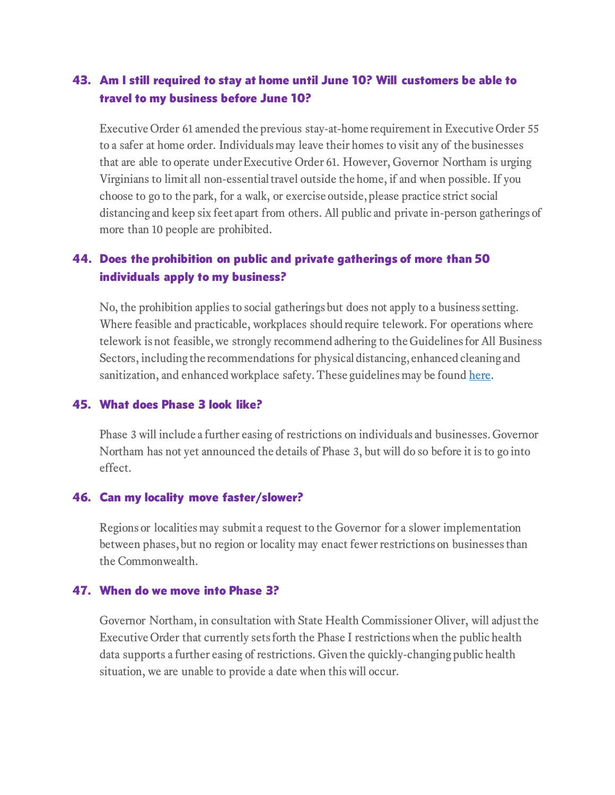# 43. Am I still required to stay at home until June 10? Will customers be able to travel to my business before June 10?

Executive Order 61 amended the previous stay-at-home requirement in Executive Order 55 to a safer at home order. Individuals may leave their homes to visit any of the businesses that are able to operate under Executive Order 61. However, Governor Northam is urging Virginians to limit all non-essential travel outside the home, if and when possible. If you choose to go to the park, for a walk, or exercise outside, please practice strict social distancing and keep six feet apart from others. All public and private in-person gatherings of more than 10 people are prohibited.

# 44. Does the prohibition on public and private gatherings of more than 50 individuals apply to my business?

No, the prohibition applies to social gatherings but does not apply to a business setting. Where feasible and practicable, workplaces should require telework. For operations where telework is not feasible, we strongly recommend adhering to the Guidelines for All Business Sectors, including the recommendations for physical distancing, enhanced cleaning and sanitization, and enhanced workplace safety. These guidelines may be found [here.](https://www.virginia.gov/coronavirus/forwardvirginia/#856418)

## 45. What does Phase 3 look like?

Phase 3 will include a further easing of restrictions on individuals and businesses. Governor Northam has not yet announced the details of Phase 3, but will do so before it is to go into effect.

#### 46. Can my locality move faster/slower?

Regions or localities may submit a request to the Governor for a slower implementation between phases, but no region or locality may enact fewer restrictions on businesses than the Commonwealth.

#### 47. When do we move into Phase 3?

Governor Northam, in consultation with State Health Commissioner Oliver, will adjust the Executive Order that currently sets forth the Phase I restrictions when the public health data supports a further easing of restrictions. Given the quickly-changing public health situation, we are unable to provide a date when this will occur.